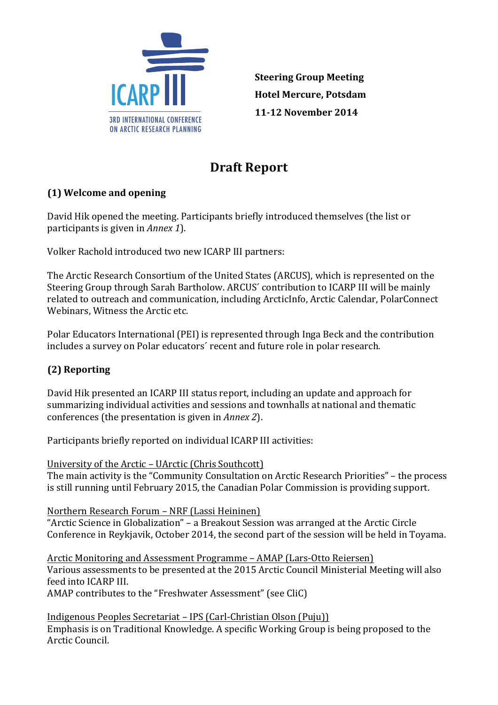

**Steering Group Meeting Hotel Mercure, Potsdam 11-12 November 2014** 

# **Draft Report**

# **(1) Welcome and opening**

David Hik opened the meeting. Participants briefly introduced themselves (the list or participants is given in *Annex 1*).

Volker Rachold introduced two new ICARP III partners:

The Arctic Research Consortium of the United States (ARCUS), which is represented on the Steering Group through Sarah Bartholow. ARCUS' contribution to ICARP III will be mainly related to outreach and communication, including ArcticInfo, Arctic Calendar, PolarConnect Webinars, Witness the Arctic etc.

Polar Educators International (PEI) is represented through Inga Beck and the contribution includes a survey on Polar educators' recent and future role in polar research.

# **(2) 
Reporting**

David Hik presented an ICARP III status report, including an update and approach for summarizing individual activities and sessions and townhalls at national and thematic conferences (the presentation is given in *Annex 2*).

Participants briefly reported on individual ICARP III activities:

University of the Arctic – UArctic (Chris Southcott) The main activity is the "Community Consultation on Arctic Research Priorities" – the process is still running until February 2015, the Canadian Polar Commission is providing support.

Northern Research Forum - NRF (Lassi Heininen)

"Arctic Science in Globalization" – a Breakout Session was arranged at the Arctic Circle Conference in Reykjavik, October 2014, the second part of the session will be held in Toyama.

Arctic Monitoring and Assessment Programme – AMAP (Lars-Otto Reiersen) Various assessments to be presented at the 2015 Arctic Council Ministerial Meeting will also feed into ICARP III. AMAP contributes to the "Freshwater Assessment" (see CliC)

Indigenous Peoples Secretariat – IPS (Carl-Christian Olson (Puju))

Emphasis is on Traditional Knowledge. A specific Working Group is being proposed to the Arctic Council.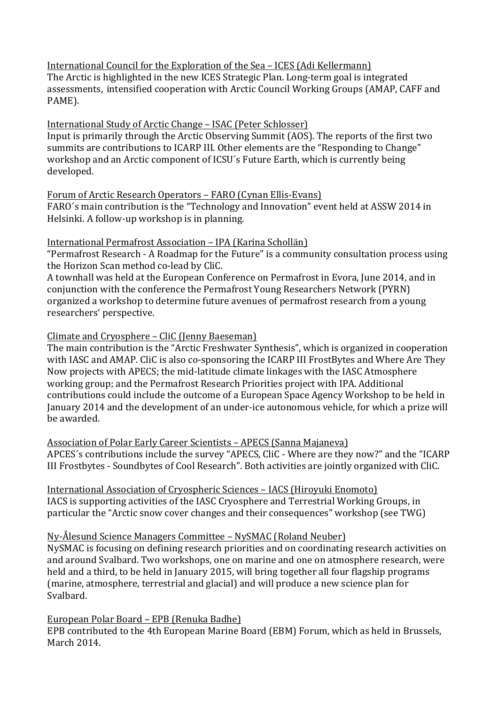## International Council for the Exploration of the Sea - ICES (Adi Kellermann)

The Arctic is highlighted in the new ICES Strategic Plan. Long-term goal is integrated assessments, intensified cooperation with Arctic Council Working Groups (AMAP, CAFF and PAME).

#### International Study of Arctic Change - ISAC (Peter Schlosser)

Input is primarily through the Arctic Observing Summit (AOS). The reports of the first two summits are contributions to ICARP III. Other elements are the "Responding to Change" workshop and an Arctic component of ICSU's Future Earth, which is currently being developed.

#### Forum of Arctic Research Operators – FARO (Cynan Ellis-Evans)

FARO's main contribution is the "Technology and Innovation" event held at ASSW 2014 in Helsinki. A follow-up workshop is in planning.

#### International Permafrost Association - IPA (Karina Schollän)

"Permafrost Research - A Roadmap for the Future" is a community consultation process using the Horizon Scan method co-lead by CliC.

A townhall was held at the European Conference on Permafrost in Evora, June 2014, and in conjunction with the conference the Permafrost Young Researchers Network (PYRN) organized a workshop to determine future avenues of permafrost research from a young researchers' perspective.

## Climate and Cryosphere – CliC (Jenny Baeseman)

The main contribution is the "Arctic Freshwater Synthesis", which is organized in cooperation with IASC and AMAP. CliC is also co-sponsoring the ICARP III FrostBytes and Where Are They Now projects with APECS; the mid-latitude climate linkages with the IASC Atmosphere working group; and the Permafrost Research Priorities project with IPA. Additional contributions could include the outcome of a European Space Agency Workshop to be held in January 2014 and the development of an under-ice autonomous vehicle, for which a prize will be awarded.

Association of Polar Early Career Scientists - APECS (Sanna Majaneva) APCES's contributions include the survey "APECS, CliC - Where are they now?" and the "ICARP III Frostbytes - Soundbytes of Cool Research". Both activities are jointly organized with CliC.

International Association of Cryospheric Sciences - IACS (Hiroyuki Enomoto) IACS is supporting activities of the IASC Cryosphere and Terrestrial Working Groups, in particular the "Arctic snow cover changes and their consequences" workshop (see TWG)

## Ny-Ålesund Science Managers Committee – NySMAC (Roland Neuber)

NySMAC is focusing on defining research priorities and on coordinating research activities on and around Svalbard. Two workshops, one on marine and one on atmosphere research, were held and a third, to be held in January 2015, will bring together all four flagship programs (marine, atmosphere, terrestrial and glacial) and will produce a new science plan for Svalbard.

## European Polar Board – EPB (Renuka Badhe)

EPB contributed to the 4th European Marine Board (EBM) Forum, which as held in Brussels, March 2014.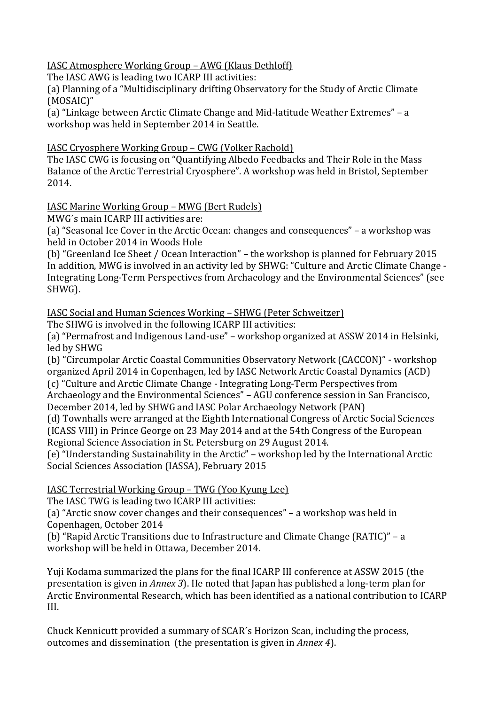IASC Atmosphere Working Group – AWG (Klaus Dethloff)

The IASC AWG is leading two ICARP III activities:

(a) Planning of a "Multidisciplinary drifting Observatory for the Study of Arctic Climate (MOSAIC)"

(a) "Linkage between Arctic Climate Change and Mid-latitude Weather Extremes" – a workshop was held in September 2014 in Seattle.

IASC Cryosphere Working Group - CWG (Volker Rachold)

The IASC CWG is focusing on "Quantifying Albedo Feedbacks and Their Role in the Mass Balance of the Arctic Terrestrial Cryosphere". A workshop was held in Bristol, September 2014.

IASC Marine Working Group - MWG (Bert Rudels)

MWG's main ICARP III activities are:

(a) "Seasonal Ice Cover in the Arctic Ocean: changes and consequences" – a workshop was held in October 2014 in Woods Hole

(b) "Greenland Ice Sheet / Ocean Interaction" - the workshop is planned for February 2015 In addition, MWG is involved in an activity led by SHWG: "Culture and Arctic Climate Change -Integrating Long-Term Perspectives from Archaeology and the Environmental Sciences" (see SHWG).

IASC Social and Human Sciences Working – SHWG (Peter Schweitzer)

The SHWG is involved in the following ICARP III activities:

(a) "Permafrost and Indigenous Land-use" – workshop organized at ASSW 2014 in Helsinki, led by SHWG

(b) "Circumpolar Arctic Coastal Communities Observatory Network (CACCON)" - workshop organized April 2014 in Copenhagen, led by IASC Network Arctic Coastal Dynamics (ACD)

(c) "Culture and Arctic Climate Change - Integrating Long-Term Perspectives from Archaeology and the Environmental Sciences" - AGU conference session in San Francisco, December 2014, led by SHWG and IASC Polar Archaeology Network (PAN)

(d) Townhalls were arranged at the Eighth International Congress of Arctic Social Sciences (ICASS VIII) in Prince George on 23 May 2014 and at the 54th Congress of the European Regional Science Association in St. Petersburg on 29 August 2014.

(e) "Understanding Sustainability in the Arctic" – workshop led by the International Arctic Social Sciences Association (IASSA), February 2015

IASC Terrestrial Working Group - TWG (Yoo Kyung Lee)

The IASC TWG is leading two ICARP III activities:

(a) "Arctic snow cover changes and their consequences" – a workshop was held in Copenhagen, October 2014

(b) "Rapid Arctic Transitions due to Infrastructure and Climate Change (RATIC)" – a workshop will be held in Ottawa, December 2014.

Yuji Kodama summarized the plans for the final ICARP III conference at ASSW 2015 (the presentation is given in *Annex 3*). He noted that Japan has published a long-term plan for Arctic Environmental Research, which has been identified as a national contribution to ICARP III.

Chuck Kennicutt provided a summary of SCAR's Horizon Scan, including the process, outcomes and dissemination (the presentation is given in *Annex 4*).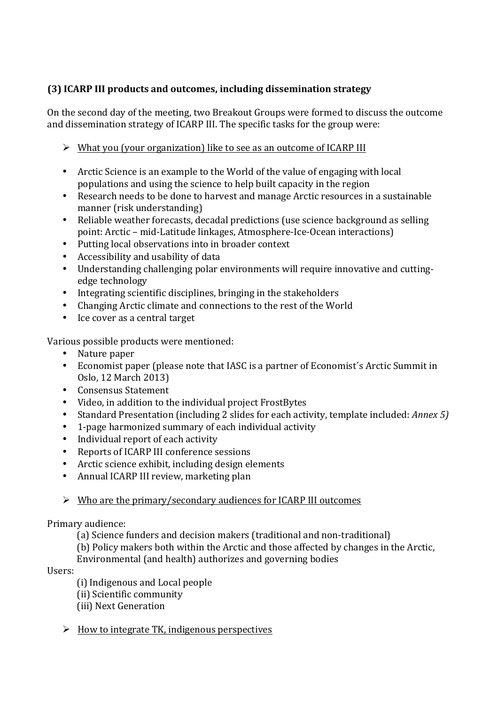# **(3) ICARP III products and outcomes, including dissemination strategy**

On the second day of the meeting, two Breakout Groups were formed to discuss the outcome and dissemination strategy of ICARP III. The specific tasks for the group were:

- $\triangleright$  What you (your organization) like to see as an outcome of ICARP III
- Arctic Science is an example to the World of the value of engaging with local populations and using the science to help built capacity in the region
- Research needs to be done to harvest and manage Arctic resources in a sustainable manner (risk understanding)
- Reliable weather forecasts, decadal predictions (use science background as selling point: Arctic - mid-Latitude linkages, Atmosphere-Ice-Ocean interactions)
- Putting local observations into in broader context
- Accessibility and usability of data<br>• Understanding challenging polar of
- Understanding challenging polar environments will require innovative and cuttingedge technology
- Integrating scientific disciplines, bringing in the stakeholders
- Changing Arctic climate and connections to the rest of the World
- Ice cover as a central target

Various possible products were mentioned:<br>• Nature paper

- Nature paper
- Economist paper (please note that IASC is a partner of Economist's Arctic Summit in Oslo, 12 March 2013)
- Consensus Statement<br>• Video in addition to the
- Video, in addition to the individual project FrostBytes<br>• Standard Presentation (including 2 slides for each active
- Standard Presentation (including 2 slides for each activity, template included: Annex 5)<br> **•** 1-page harmonized summary of each individual activity
- 1-page harmonized summary of each individual activity
- Individual report of each activity<br>• Reports of ICARP III conference s
- Reports of ICARP III conference sessions
- Arctic science exhibit, including design elements
- Annual ICARP III review, marketing plan
- $\triangleright$  Who are the primary/secondary audiences for ICARP III outcomes

# Primary audience:

- (a) Science funders and decision makers (traditional and non-traditional)
- (b) Policy makers both within the Arctic and those affected by changes in the Arctic,
- Environmental (and health) authorizes and governing bodies

# Users:

- (i) Indigenous and Local people
- (ii) Scientific community
- (iii) Next Generation
- $\triangleright$  How to integrate TK, indigenous perspectives